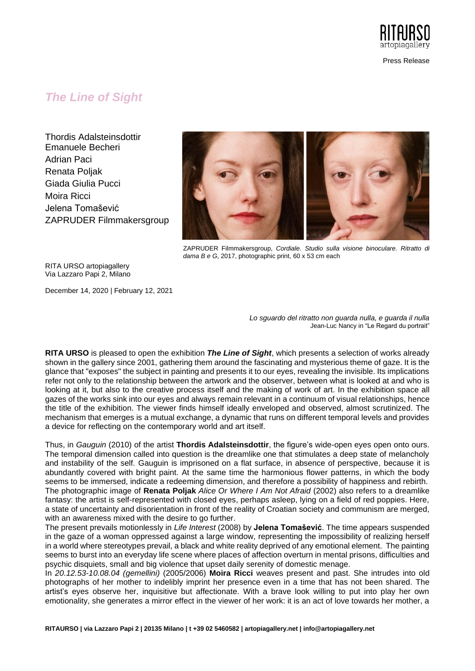

Press Release

## *The Line of Sight*

Thordis Adalsteinsdottir Emanuele Becheri Adrian Paci Renata Poljak Giada Giulia Pucci Moira Ricci Jelena Tomašević ZAPRUDER Filmmakersgroup



ZAPRUDER Filmmakersgroup, *Cordiale. Studio sulla visione binoculare. Ritratto di dama B e G*, 2017, photographic print, 60 x 53 cm each

RITA URSO artopiagallery Via Lazzaro Papi 2, Milano

December 14, 2020 | February 12, 2021

*Lo sguardo del ritratto non guarda nulla, e guarda il nulla* Jean-Luc Nancy in "Le Regard du portrait"

**RITA URSO** is pleased to open the exhibition *The Line of Sight*, which presents a selection of works already shown in the gallery since 2001, gathering them around the fascinating and mysterious theme of gaze. It is the glance that "exposes" the subject in painting and presents it to our eyes, revealing the invisible. Its implications refer not only to the relationship between the artwork and the observer, between what is looked at and who is looking at it, but also to the creative process itself and the making of work of art. In the exhibition space all gazes of the works sink into our eyes and always remain relevant in a continuum of visual relationships, hence the title of the exhibition. The viewer finds himself ideally enveloped and observed, almost scrutinized. The mechanism that emerges is a mutual exchange, a dynamic that runs on different temporal levels and provides a device for reflecting on the contemporary world and art itself.

Thus, in *Gauguin* (2010) of the artist **Thordis Adalsteinsdottir**, the figure's wide-open eyes open onto ours. The temporal dimension called into question is the dreamlike one that stimulates a deep state of melancholy and instability of the self. Gauguin is imprisoned on a flat surface, in absence of perspective, because it is abundantly covered with bright paint. At the same time the harmonious flower patterns, in which the body seems to be immersed, indicate a redeeming dimension, and therefore a possibility of happiness and rebirth. The photographic image of **Renata Poljak** *Alice Or Where I Am Not Afraid* (2002) also refers to a dreamlike fantasy: the artist is self-represented with closed eyes, perhaps asleep, lying on a field of red poppies. Here, a state of uncertainty and disorientation in front of the reality of Croatian society and communism are merged, with an awareness mixed with the desire to go further.

The present prevails motionlessly in *Life Interest* (2008) by **Jelena Tomašević**. The time appears suspended in the gaze of a woman oppressed against a large window, representing the impossibility of realizing herself in a world where stereotypes prevail, a black and white reality deprived of any emotional element. The painting seems to burst into an everyday life scene where places of affection overturn in mental prisons, difficulties and psychic disquiets, small and big violence that upset daily serenity of domestic menage.

In *20.12.53-10.08.04 (gemellini)* (2005/2006) **Moira Ricci** weaves present and past. She intrudes into old photographs of her mother to indelibly imprint her presence even in a time that has not been shared. The artist's eyes observe her, inquisitive but affectionate. With a brave look willing to put into play her own emotionality, she generates a mirror effect in the viewer of her work: it is an act of love towards her mother, a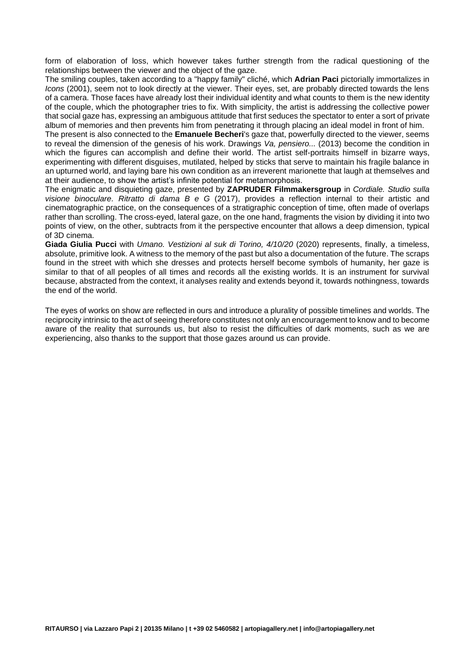form of elaboration of loss, which however takes further strength from the radical questioning of the relationships between the viewer and the object of the gaze.

The smiling couples, taken according to a "happy family" cliché, which **Adrian Paci** pictorially immortalizes in *Icons* (2001), seem not to look directly at the viewer. Their eyes, set, are probably directed towards the lens of a camera. Those faces have already lost their individual identity and what counts to them is the new identity of the couple, which the photographer tries to fix. With simplicity, the artist is addressing the collective power that social gaze has, expressing an ambiguous attitude that first seduces the spectator to enter a sort of private album of memories and then prevents him from penetrating it through placing an ideal model in front of him.

The present is also connected to the **Emanuele Becheri**'s gaze that, powerfully directed to the viewer, seems to reveal the dimension of the genesis of his work. Drawings *Va, pensiero...* (2013) become the condition in which the figures can accomplish and define their world. The artist self-portraits himself in bizarre ways, experimenting with different disguises, mutilated, helped by sticks that serve to maintain his fragile balance in an upturned world, and laying bare his own condition as an irreverent marionette that laugh at themselves and at their audience, to show the artist's infinite potential for metamorphosis.

The enigmatic and disquieting gaze, presented by **ZAPRUDER Filmmakersgroup** in *Cordiale. Studio sulla visione binoculare. Ritratto di dama B e G* (2017), provides a reflection internal to their artistic and cinematographic practice, on the consequences of a stratigraphic conception of time, often made of overlaps rather than scrolling. The cross-eyed, lateral gaze, on the one hand, fragments the vision by dividing it into two points of view, on the other, subtracts from it the perspective encounter that allows a deep dimension, typical of 3D cinema.

**Giada Giulia Pucci** with *Umano. Vestizioni al suk di Torino, 4/10/20* (2020) represents, finally, a timeless, absolute, primitive look. A witness to the memory of the past but also a documentation of the future. The scraps found in the street with which she dresses and protects herself become symbols of humanity, her gaze is similar to that of all peoples of all times and records all the existing worlds. It is an instrument for survival because, abstracted from the context, it analyses reality and extends beyond it, towards nothingness, towards the end of the world.

The eyes of works on show are reflected in ours and introduce a plurality of possible timelines and worlds. The reciprocity intrinsic to the act of seeing therefore constitutes not only an encouragement to know and to become aware of the reality that surrounds us, but also to resist the difficulties of dark moments, such as we are experiencing, also thanks to the support that those gazes around us can provide.